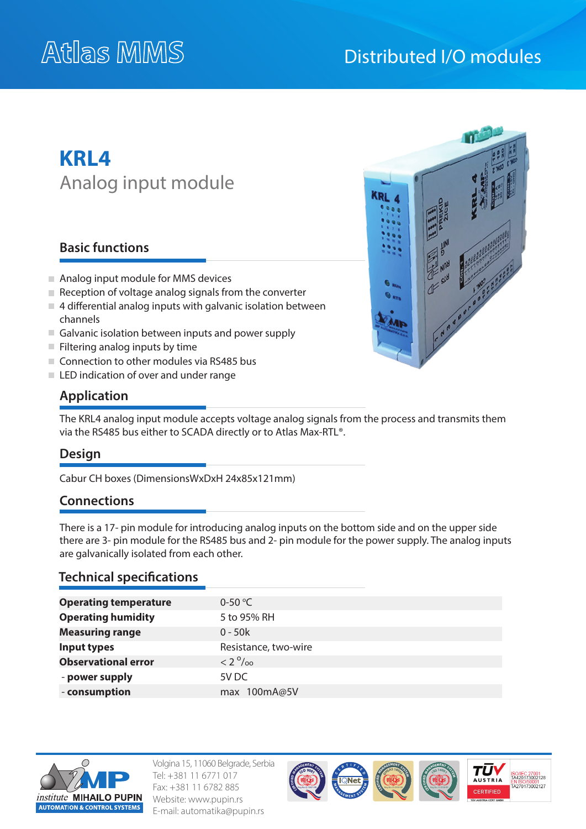## Distributed I/O modules

# **KRL4** Analog input module

## **Basic functions**

- Analog input module for MMS devices
- $\blacksquare$  Reception of voltage analog signals from the converter
- $\blacksquare$  4 differential analog inputs with galvanic isolation between channels
- Galvanic isolation between inputs and power supply
- $\blacksquare$  Filtering analog inputs by time
- Connection to other modules via RS485 bus
- **LED** indication of over and under range

### **Application**

The KRL4 analog input module accepts voltage analog signals from the process and transmits them via the RS485 bus either to SCADA directly or to Atlas Max-RTL®.

#### **Design**

Cabur CH boxes (DimensionsWxDxH 24x85x121mm)

#### **Connections**

There is a 17- pin module for introducing analog inputs on the bottom side and on the upper side there are 3- pin module for the RS485 bus and 2- pin module for the power supply. The analog inputs are galvanically isolated from each other.

#### **Technical specifications**

| <b>Operating temperature</b> | $0-50$ °C              |
|------------------------------|------------------------|
| <b>Operating humidity</b>    | 5 to 95% RH            |
| <b>Measuring range</b>       | $0 - 50k$              |
| Input types                  | Resistance, two-wire   |
| <b>Observational error</b>   | $< 2^{\circ}/_{\circ}$ |
| - power supply               | 5V DC                  |
| - consumption                | max 100mA@5V           |



Volgina 15, 11060 Belgrade, Serbia Tel: +381 11 6771 017 Fax: +381 11 6782 885 Website: www.pupin.rs E-mail: automatika@pupin.rs